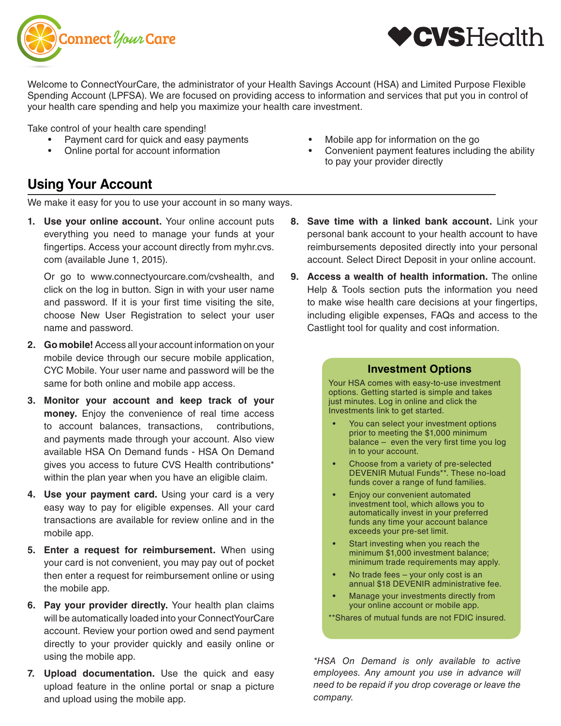



Welcome to ConnectYourCare, the administrator of your Health Savings Account (HSA) and Limited Purpose Flexible Spending Account (LPFSA). We are focused on providing access to information and services that put you in control of your health care spending and help you maximize your health care investment.

Take control of your health care spending!

- Payment card for quick and easy payments
- Online portal for account information
- Mobile app for information on the go
- Convenient payment features including the ability to pay your provider directly

# **Using Your Account**

We make it easy for you to use your account in so many ways.

**1. Use your online account.** Your online account puts everything you need to manage your funds at your fingertips. Access your account directly from myhr.cvs. com (available June 1, 2015).

Or go to www.connectyourcare.com/cvshealth, and click on the log in button. Sign in with your user name and password. If it is your first time visiting the site, choose New User Registration to select your user name and password.

- **2. Go mobile!** Access all your account information on your mobile device through our secure mobile application, CYC Mobile. Your user name and password will be the same for both online and mobile app access.
- **3. Monitor your account and keep track of your money.** Enjoy the convenience of real time access to account balances, transactions, contributions, and payments made through your account. Also view available HSA On Demand funds - HSA On Demand gives you access to future CVS Health contributions\* within the plan year when you have an eligible claim.
- **4. Use your payment card.** Using your card is a very easy way to pay for eligible expenses. All your card transactions are available for review online and in the mobile app.
- **5. Enter a request for reimbursement.** When using your card is not convenient, you may pay out of pocket then enter a request for reimbursement online or using the mobile app.
- **6. Pay your provider directly.** Your health plan claims will be automatically loaded into your ConnectYourCare account. Review your portion owed and send payment directly to your provider quickly and easily online or using the mobile app.
- **7. Upload documentation.** Use the quick and easy upload feature in the online portal or snap a picture and upload using the mobile app.
- **8. Save time with a linked bank account.** Link your personal bank account to your health account to have reimbursements deposited directly into your personal account. Select Direct Deposit in your online account.
- **9. Access a wealth of health information.** The online Help & Tools section puts the information you need to make wise health care decisions at your fingertips, including eligible expenses, FAQs and access to the Castlight tool for quality and cost information.

# **Investment Options**

Your HSA comes with easy-to-use investment options. Getting started is simple and takes just minutes. Log in online and click the Investments link to get started.

- You can select your investment options prior to meeting the \$1,000 minimum balance – even the very first time you log in to your account.
- Choose from a variety of pre-selected DEVENIR Mutual Funds\*\*. These no-load funds cover a range of fund families.
- Enjoy our convenient automated investment tool, which allows you to automatically invest in your preferred funds any time your account balance exceeds your pre-set limit.
- Start investing when you reach the minimum \$1,000 investment balance; minimum trade requirements may apply.
- No trade fees your only cost is an annual \$18 DEVENIR administrative fee.
- Manage your investments directly from your online account or mobile app.

\*\*Shares of mutual funds are not FDIC insured.

*\*HSA On Demand is only available to active employees. Any amount you use in advance will need to be repaid if you drop coverage or leave the company.*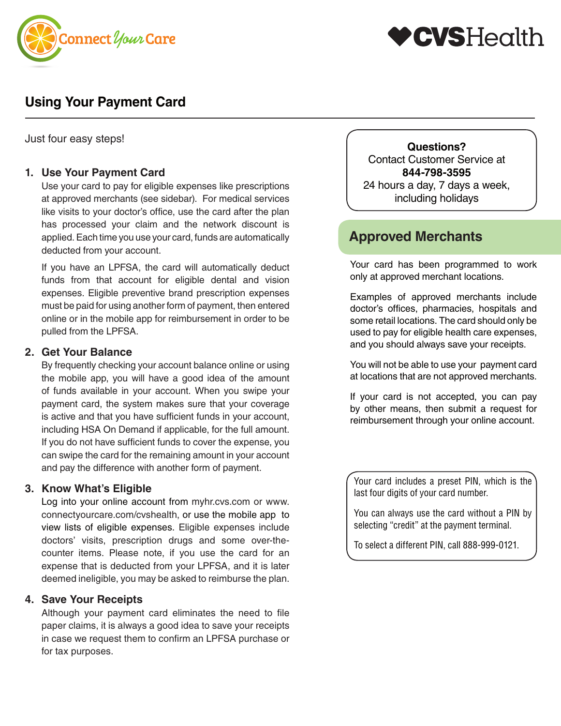



# **Using Your Payment Card**

Just four easy steps!

## **1. Use Your Payment Card**

Use your card to pay for eligible expenses like prescriptions at approved merchants (see sidebar). For medical services like visits to your doctor's office, use the card after the plan has processed your claim and the network discount is applied. Each time you use your card, funds are automatically deducted from your account.

If you have an LPFSA, the card will automatically deduct funds from that account for eligible dental and vision expenses. Eligible preventive brand prescription expenses must be paid for using another form of payment, then entered online or in the mobile app for reimbursement in order to be pulled from the LPFSA.

### **2. Get Your Balance**

By frequently checking your account balance online or using the mobile app, you will have a good idea of the amount of funds available in your account. When you swipe your payment card, the system makes sure that your coverage is active and that you have sufficient funds in your account, including HSA On Demand if applicable, for the full amount. If you do not have sufficient funds to cover the expense, you can swipe the card for the remaining amount in your account and pay the difference with another form of payment.

## **3. Know What's Eligible**

Log into your online account from myhr.cvs.com or www. connectyourcare.com/cvshealth, or use the mobile app to view lists of eligible expenses. Eligible expenses include doctors' visits, prescription drugs and some over-thecounter items. Please note, if you use the card for an expense that is deducted from your LPFSA, and it is later deemed ineligible, you may be asked to reimburse the plan.

## **4. Save Your Receipts**

Although your payment card eliminates the need to file paper claims, it is always a good idea to save your receipts in case we request them to confirm an LPFSA purchase or for tax purposes.

**Questions?** Contact Customer Service at **844-798-3595** 24 hours a day, 7 days a week, including holidays

# **Approved Merchants**

Your card has been programmed to work only at approved merchant locations.

Examples of approved merchants include doctor's offices, pharmacies, hospitals and some retail locations. The card should only be used to pay for eligible health care expenses, and you should always save your receipts.

You will not be able to use your payment card at locations that are not approved merchants.

If your card is not accepted, you can pay by other means, then submit a request for reimbursement through your online account.

Your card includes a preset PIN, which is the last four digits of your card number.

You can always use the card without a PIN by selecting "credit" at the payment terminal.

To select a different PIN, call 888-999-0121.